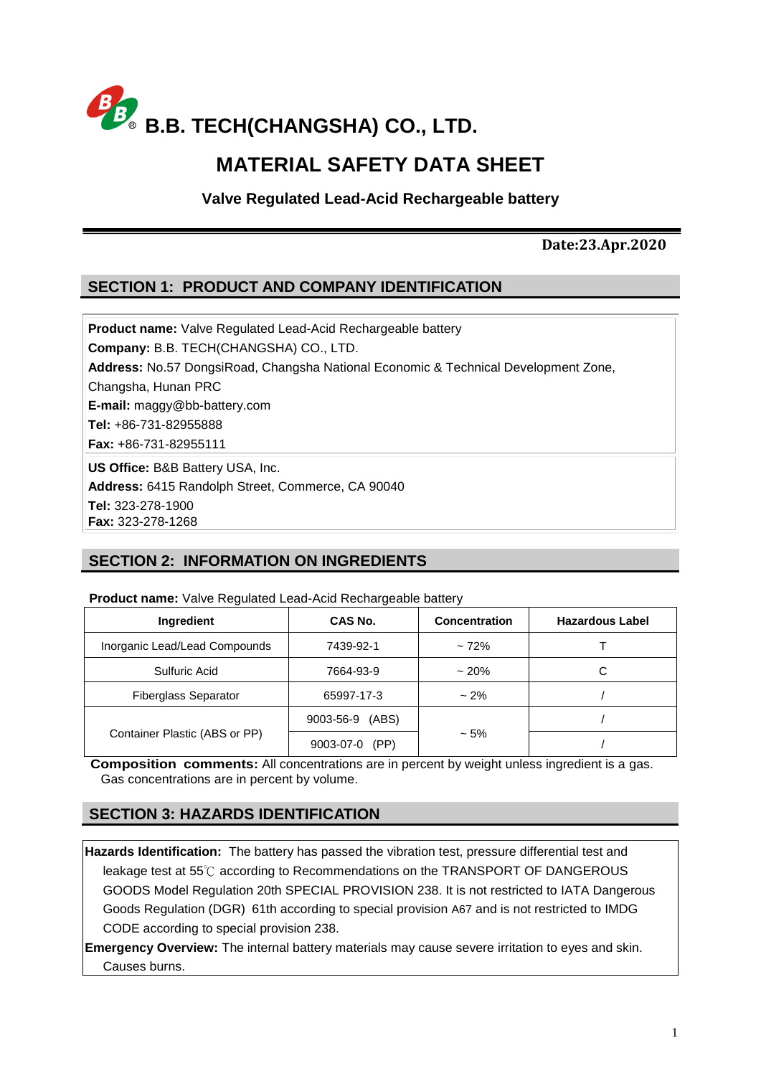

# **MATERIAL SAFETY DATA SHEET**

**Valve Regulated Lead-Acid Rechargeable battery**

#### **Date:23.Apr.2020**

### **SECTION 1: PRODUCT AND COMPANY IDENTIFICATION**

**Product name:** Valve Regulated Lead-Acid Rechargeable battery **Company:** B.B. TECH(CHANGSHA) CO., LTD. **Address:** No.57 DongsiRoad, Changsha National Economic & Technical Development Zone, Changsha, Hunan PRC **E-mail:** maggy@bb-battery.com **Tel:** +86-731-82955888 **Fax:** +86-731-82955111 **US Office:** B&B Battery USA, Inc.

**Address:** 6415 Randolph Street, Commerce, CA 90040

**Tel:** 323-278-1900

**Fax:** 323-278-1268

### **SECTION 2: INFORMATION ON INGREDIENTS**

#### **Product name:** Valve Regulated Lead-Acid Rechargeable battery

| Ingredient                    | CAS No.            | Concentration | <b>Hazardous Label</b> |
|-------------------------------|--------------------|---------------|------------------------|
| Inorganic Lead/Lead Compounds | 7439-92-1          | $~172\%$      |                        |
| Sulfuric Acid                 | 7664-93-9          | $~20\%$       | С                      |
| <b>Fiberglass Separator</b>   | 65997-17-3         | $~2\%$        |                        |
|                               | (ABS)<br>9003-56-9 |               |                        |
| Container Plastic (ABS or PP) | (PP)<br>9003-07-0  | $~1.5\%$      |                        |

**Composition comments:** All concentrations are in percent by weight unless ingredient is a gas. Gas concentrations are in percent by volume.

### **SECTION 3: HAZARDS IDENTIFICATION**

**Hazards Identification:** The battery has passed the vibration test, pressure differential test and leakage test at 55℃ according to Recommendations on the TRANSPORT OF DANGEROUS GOODS Model Regulation 20th SPECIAL PROVISION 238. It is not restricted to IATA Dangerous Goods Regulation (DGR) 61th according to special provision A67 and is not restricted to IMDG CODE according to special provision 238.

**Emergency Overview:** The internal battery materials may cause severe irritation to eyes and skin. Causes burns.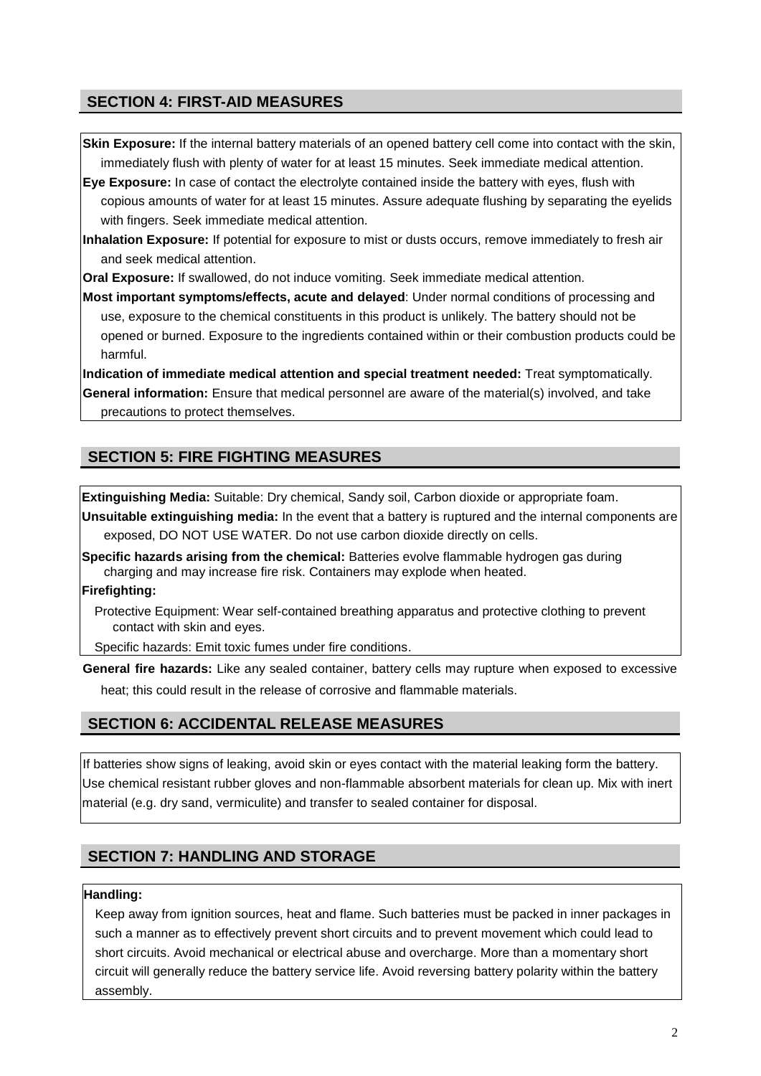### **SECTION 4: FIRST-AID MEASURES**

**Skin Exposure:** If the internal battery materials of an opened battery cell come into contact with the skin, immediately flush with plenty of water for at least 15 minutes. Seek immediate medical attention.

**Eye Exposure:** In case of contact the electrolyte contained inside the battery with eyes, flush with copious amounts of water for at least 15 minutes. Assure adequate flushing by separating the eyelids with fingers. Seek immediate medical attention.

**Inhalation Exposure:** If potential for exposure to mist or dusts occurs, remove immediately to fresh air and seek medical attention.

**Oral Exposure:** If swallowed, do not induce vomiting. Seek immediate medical attention.

**Most important symptoms/effects, acute and delayed**: Under normal conditions of processing and use, exposure to the chemical constituents in this product is unlikely. The battery should not be opened or burned. Exposure to the ingredients contained within or their combustion products could be harmful.

**Indication of immediate medical attention and special treatment needed:** Treat symptomatically. **General information:** Ensure that medical personnel are aware of the material(s) involved, and take precautions to protect themselves.

### **SECTION 5: FIRE FIGHTING MEASURES**

**Extinguishing Media:** Suitable: Dry chemical, Sandy soil, Carbon dioxide or appropriate foam.

**Unsuitable extinguishing media:** In the event that a battery is ruptured and the internal components are exposed, DO NOT USE WATER. Do not use carbon dioxide directly on cells.

**Specific hazards arising from the chemical:** Batteries evolve flammable hydrogen gas during charging and may increase fire risk. Containers may explode when heated.

**Firefighting:**

Protective Equipment: Wear self-contained breathing apparatus and protective clothing to prevent contact with skin and eyes.

Specific hazards: Emit toxic fumes under fire conditions.

**General fire hazards:** Like any sealed container, battery cells may rupture when exposed to excessive heat; this could result in the release of corrosive and flammable materials.

### **SECTION 6: ACCIDENTAL RELEASE MEASURES**

If batteries show signs of leaking, avoid skin or eyes contact with the material leaking form the battery. Use chemical resistant rubber gloves and non-flammable absorbent materials for clean up. Mix with inert material (e.g. dry sand, vermiculite) and transfer to sealed container for disposal.

# **SECTION 7: HANDLING AND STORAGE**

#### **Handling:**

Keep away from ignition sources, heat and flame. Such batteries must be packed in inner packages in such a manner as to effectively prevent short circuits and to prevent movement which could lead to short circuits. Avoid mechanical or electrical abuse and overcharge. More than a momentary short circuit will generally reduce the battery service life. Avoid reversing battery polarity within the battery assembly.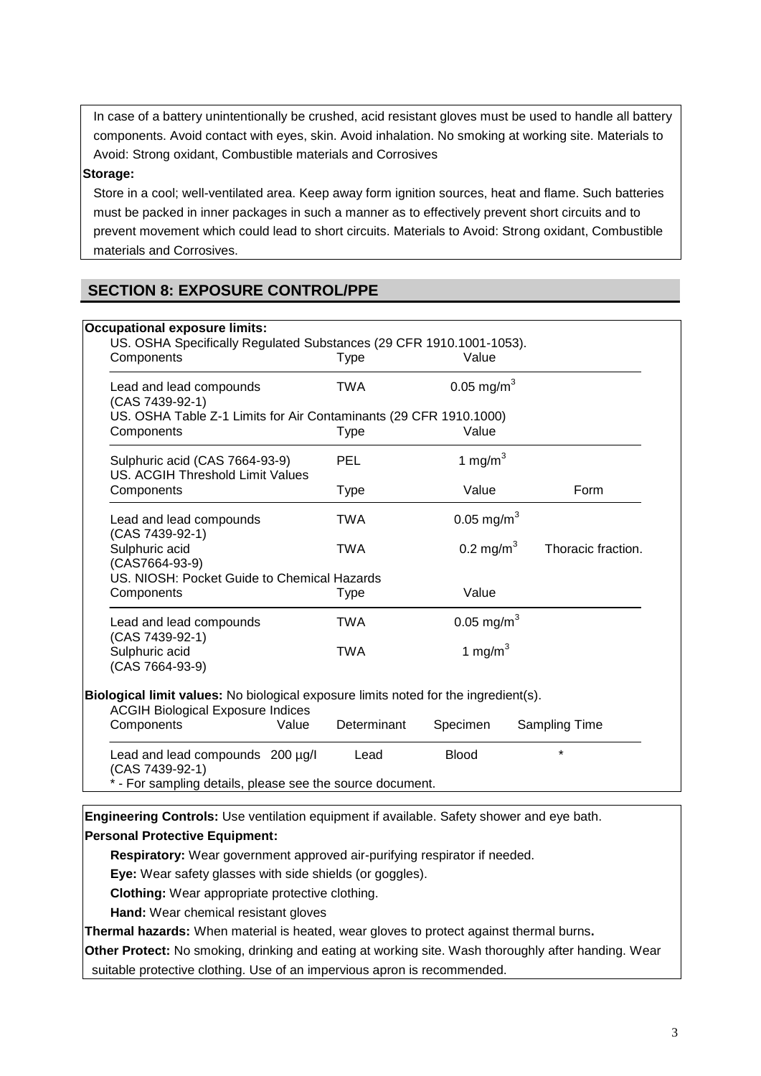In case of a battery unintentionally be crushed, acid resistant gloves must be used to handle all battery components. Avoid contact with eyes, skin. Avoid inhalation. No smoking at working site. Materials to Avoid: Strong oxidant, Combustible materials and Corrosives

#### **Storage:**

Store in a cool; well-ventilated area. Keep away form ignition sources, heat and flame. Such batteries must be packed in inner packages in such a manner as to effectively prevent short circuits and to prevent movement which could lead to short circuits. Materials to Avoid: Strong oxidant, Combustible materials and Corrosives.

# **SECTION 8: EXPOSURE CONTROL/PPE**

| Components                                                                                                                      | <b>Type</b> | Value                  |                    |
|---------------------------------------------------------------------------------------------------------------------------------|-------------|------------------------|--------------------|
| Lead and lead compounds<br>(CAS 7439-92-1)                                                                                      | <b>TWA</b>  | 0.05 mg/m <sup>3</sup> |                    |
| US. OSHA Table Z-1 Limits for Air Contaminants (29 CFR 1910.1000)                                                               |             |                        |                    |
| Components                                                                                                                      | <b>Type</b> | Value                  |                    |
| Sulphuric acid (CAS 7664-93-9)<br>US. ACGIH Threshold Limit Values                                                              | PEL         | 1 mg/m $3$             |                    |
| Components                                                                                                                      | <b>Type</b> | Value                  | Form               |
| Lead and lead compounds<br>(CAS 7439-92-1)                                                                                      | <b>TWA</b>  | 0.05 mg/m <sup>3</sup> |                    |
| Sulphuric acid<br>(CAS7664-93-9)                                                                                                | TWA         | 0.2 mg/m <sup>3</sup>  | Thoracic fraction. |
| US. NIOSH: Pocket Guide to Chemical Hazards                                                                                     |             |                        |                    |
| Components                                                                                                                      | <b>Type</b> | Value                  |                    |
| Lead and lead compounds<br>(CAS 7439-92-1)                                                                                      | <b>TWA</b>  | 0.05 mg/m <sup>3</sup> |                    |
| Sulphuric acid<br>(CAS 7664-93-9)                                                                                               | TWA         | 1 mg/m $3$             |                    |
| Biological limit values: No biological exposure limits noted for the ingredient(s).<br><b>ACGIH Biological Exposure Indices</b> |             |                        |                    |
| Components<br>Value                                                                                                             | Determinant | Specimen               | Sampling Time      |
| Lead and lead compounds 200 µg/l                                                                                                | Lead        | <b>Blood</b>           | $\star$            |

**Engineering Controls:** Use ventilation equipment if available. Safety shower and eye bath.

#### **Personal Protective Equipment:**

**Respiratory:** Wear government approved air-purifying respirator if needed.

**Eye:** Wear safety glasses with side shields (or goggles).

**Clothing:** Wear appropriate protective clothing.

**Hand:** Wear chemical resistant gloves

**Thermal hazards:** When material is heated, wear gloves to protect against thermal burns**.**

**Other Protect:** No smoking, drinking and eating at working site. Wash thoroughly after handing. Wear suitable protective clothing. Use of an impervious apron is recommended.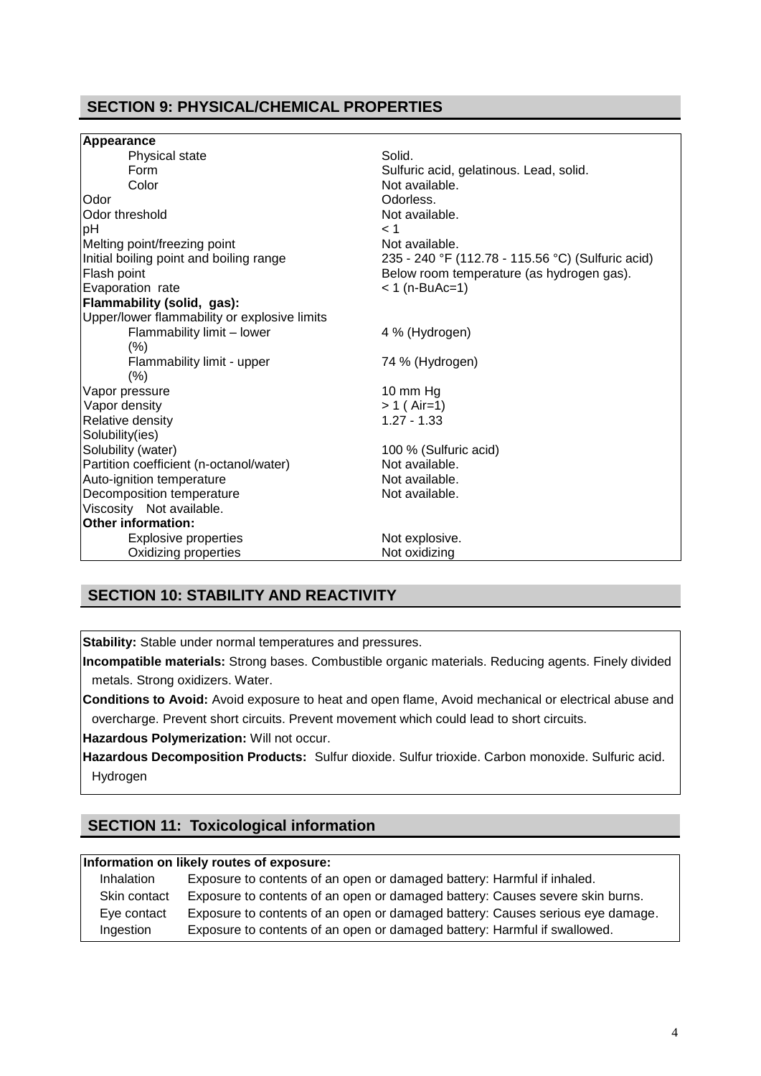# **SECTION 9: PHYSICAL/CHEMICAL PROPERTIES**

| Appearance                                   |                                                   |
|----------------------------------------------|---------------------------------------------------|
| Physical state                               | Solid.                                            |
| Form                                         | Sulfuric acid, gelatinous. Lead, solid.           |
| Color                                        | Not available.                                    |
| Odor                                         | Odorless.                                         |
| Odor threshold                               | Not available.                                    |
| pH                                           | < 1                                               |
| Melting point/freezing point                 | Not available.                                    |
| Initial boiling point and boiling range      | 235 - 240 °F (112.78 - 115.56 °C) (Sulfuric acid) |
| Flash point                                  | Below room temperature (as hydrogen gas).         |
| Evaporation rate                             | $< 1$ (n-BuAc=1)                                  |
| Flammability (solid, gas):                   |                                                   |
| Upper/lower flammability or explosive limits |                                                   |
| Flammability limit - lower                   | 4 % (Hydrogen)                                    |
| (% )                                         |                                                   |
| Flammability limit - upper                   | 74 % (Hydrogen)                                   |
| (%)                                          |                                                   |
| Vapor pressure                               | 10 mm Hg                                          |
| Vapor density                                | $> 1$ (Air=1)                                     |
| Relative density                             | $1.27 - 1.33$                                     |
| Solubility(ies)                              |                                                   |
| Solubility (water)                           | 100 % (Sulfuric acid)                             |
| Partition coefficient (n-octanol/water)      | Not available.                                    |
| Auto-ignition temperature                    | Not available.                                    |
| Decomposition temperature                    | Not available.                                    |
| Viscosity Not available.                     |                                                   |
| <b>Other information:</b>                    |                                                   |
| <b>Explosive properties</b>                  | Not explosive.                                    |
| Oxidizing properties                         | Not oxidizing                                     |

### **SECTION 10: STABILITY AND REACTIVITY**

**Stability:** Stable under normal temperatures and pressures.

**Incompatible materials:** Strong bases. Combustible organic materials. Reducing agents. Finely divided metals. Strong oxidizers. Water.

**Conditions to Avoid:** Avoid exposure to heat and open flame, Avoid mechanical or electrical abuse and overcharge. Prevent short circuits. Prevent movement which could lead to short circuits.

**Hazardous Polymerization:** Will not occur.

**Hazardous Decomposition Products:** Sulfur dioxide. Sulfur trioxide. Carbon monoxide. Sulfuric acid. Hydrogen

### **SECTION 11: Toxicological information**

#### **Information on likely routes of exposure:**

| Inhalation   | Exposure to contents of an open or damaged battery: Harmful if inhaled.        |
|--------------|--------------------------------------------------------------------------------|
| Skin contact | Exposure to contents of an open or damaged battery: Causes severe skin burns.  |
| Eye contact  | Exposure to contents of an open or damaged battery: Causes serious eye damage. |
| Ingestion    | Exposure to contents of an open or damaged battery: Harmful if swallowed.      |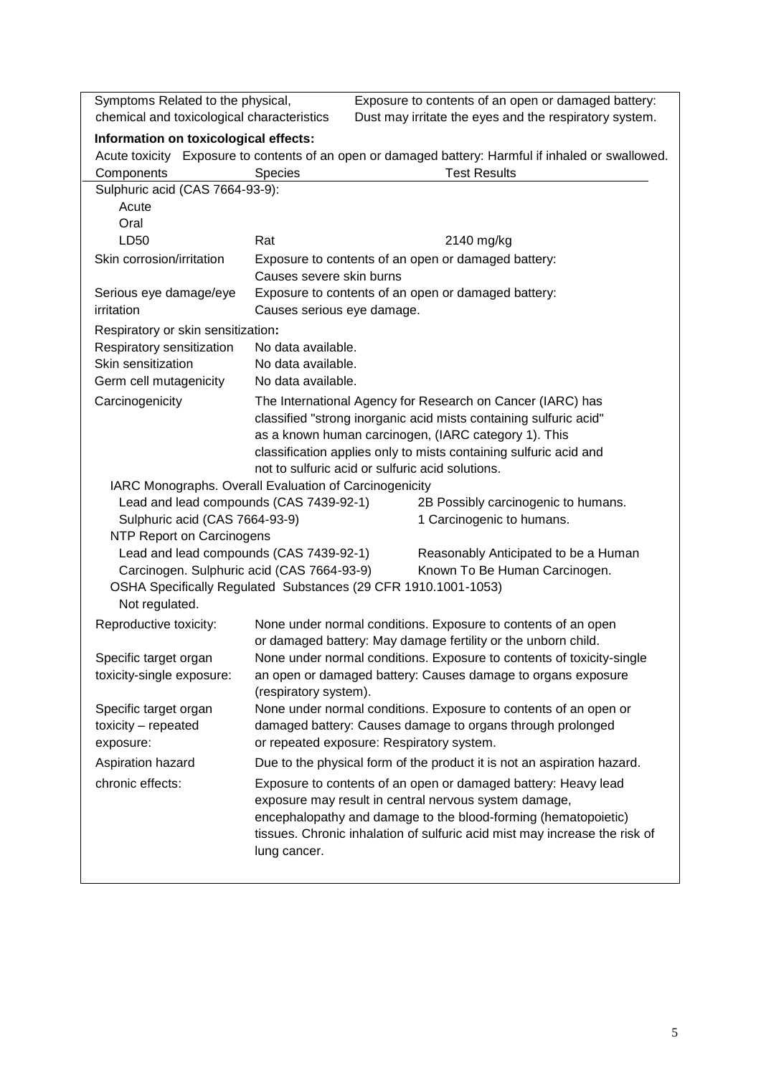| Symptoms Related to the physical,<br>Exposure to contents of an open or damaged battery:             |                                                                                                                         |                                                                   |  |
|------------------------------------------------------------------------------------------------------|-------------------------------------------------------------------------------------------------------------------------|-------------------------------------------------------------------|--|
| chemical and toxicological characteristics<br>Dust may irritate the eyes and the respiratory system. |                                                                                                                         |                                                                   |  |
| Information on toxicological effects:                                                                |                                                                                                                         |                                                                   |  |
| Acute toxicity Exposure to contents of an open or damaged battery: Harmful if inhaled or swallowed.  |                                                                                                                         |                                                                   |  |
| Components                                                                                           | <b>Species</b>                                                                                                          | <b>Test Results</b>                                               |  |
| Sulphuric acid (CAS 7664-93-9):                                                                      |                                                                                                                         |                                                                   |  |
| Acute                                                                                                |                                                                                                                         |                                                                   |  |
| Oral                                                                                                 |                                                                                                                         |                                                                   |  |
| LD50                                                                                                 | Rat                                                                                                                     | 2140 mg/kg                                                        |  |
| Skin corrosion/irritation                                                                            |                                                                                                                         | Exposure to contents of an open or damaged battery:               |  |
|                                                                                                      | Causes severe skin burns                                                                                                |                                                                   |  |
| Serious eye damage/eye<br>irritation                                                                 | Causes serious eye damage.                                                                                              | Exposure to contents of an open or damaged battery:               |  |
| Respiratory or skin sensitization:                                                                   |                                                                                                                         |                                                                   |  |
| Respiratory sensitization                                                                            | No data available.                                                                                                      |                                                                   |  |
| Skin sensitization                                                                                   | No data available.                                                                                                      |                                                                   |  |
| Germ cell mutagenicity                                                                               | No data available.                                                                                                      |                                                                   |  |
| Carcinogenicity                                                                                      |                                                                                                                         | The International Agency for Research on Cancer (IARC) has        |  |
|                                                                                                      |                                                                                                                         | classified "strong inorganic acid mists containing sulfuric acid" |  |
|                                                                                                      |                                                                                                                         | as a known human carcinogen, (IARC category 1). This              |  |
|                                                                                                      |                                                                                                                         | classification applies only to mists containing sulfuric acid and |  |
|                                                                                                      | not to sulfuric acid or sulfuric acid solutions.                                                                        |                                                                   |  |
|                                                                                                      | IARC Monographs. Overall Evaluation of Carcinogenicity                                                                  |                                                                   |  |
| Sulphuric acid (CAS 7664-93-9)                                                                       | Lead and lead compounds (CAS 7439-92-1)                                                                                 | 2B Possibly carcinogenic to humans.                               |  |
| NTP Report on Carcinogens                                                                            |                                                                                                                         | 1 Carcinogenic to humans.                                         |  |
| Lead and lead compounds (CAS 7439-92-1)                                                              |                                                                                                                         | Reasonably Anticipated to be a Human                              |  |
| Carcinogen. Sulphuric acid (CAS 7664-93-9)                                                           |                                                                                                                         | Known To Be Human Carcinogen.                                     |  |
| OSHA Specifically Regulated Substances (29 CFR 1910.1001-1053)                                       |                                                                                                                         |                                                                   |  |
| Not regulated.                                                                                       |                                                                                                                         |                                                                   |  |
| Reproductive toxicity:                                                                               |                                                                                                                         | None under normal conditions. Exposure to contents of an open     |  |
|                                                                                                      | or damaged battery: May damage fertility or the unborn child.                                                           |                                                                   |  |
| Specific target organ                                                                                | None under normal conditions. Exposure to contents of toxicity-single                                                   |                                                                   |  |
| toxicity-single exposure:                                                                            | an open or damaged battery: Causes damage to organs exposure                                                            |                                                                   |  |
|                                                                                                      | (respiratory system).                                                                                                   |                                                                   |  |
| Specific target organ                                                                                | None under normal conditions. Exposure to contents of an open or                                                        |                                                                   |  |
| toxicity - repeated                                                                                  | damaged battery: Causes damage to organs through prolonged<br>or repeated exposure: Respiratory system.                 |                                                                   |  |
| exposure:                                                                                            |                                                                                                                         |                                                                   |  |
| Aspiration hazard                                                                                    | Due to the physical form of the product it is not an aspiration hazard.                                                 |                                                                   |  |
| chronic effects:                                                                                     | Exposure to contents of an open or damaged battery: Heavy lead                                                          |                                                                   |  |
|                                                                                                      | exposure may result in central nervous system damage,<br>encephalopathy and damage to the blood-forming (hematopoietic) |                                                                   |  |
|                                                                                                      | tissues. Chronic inhalation of sulfuric acid mist may increase the risk of                                              |                                                                   |  |
|                                                                                                      | lung cancer.                                                                                                            |                                                                   |  |
|                                                                                                      |                                                                                                                         |                                                                   |  |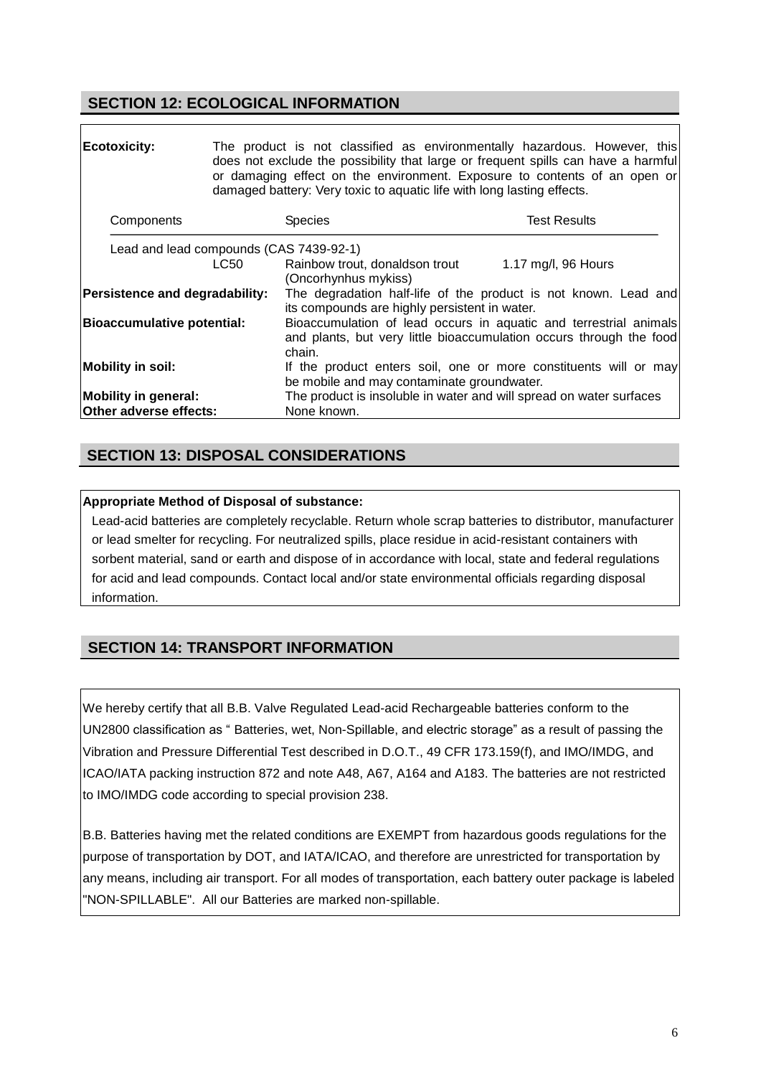### **SECTION 12: ECOLOGICAL INFORMATION**

| <b>Ecotoxicity:</b>                                   |      | or damaging effect on the environment. Exposure to contents of an open or<br>damaged battery: Very toxic to aquatic life with long lasting effects. | The product is not classified as environmentally hazardous. However, this<br>does not exclude the possibility that large or frequent spills can have a harmful |  |
|-------------------------------------------------------|------|-----------------------------------------------------------------------------------------------------------------------------------------------------|----------------------------------------------------------------------------------------------------------------------------------------------------------------|--|
| Components                                            |      | <b>Species</b>                                                                                                                                      | <b>Test Results</b>                                                                                                                                            |  |
| Lead and lead compounds (CAS 7439-92-1)               |      |                                                                                                                                                     |                                                                                                                                                                |  |
|                                                       | LC50 | Rainbow trout, donaldson trout<br>(Oncorhynhus mykiss)                                                                                              | 1.17 mg/l, 96 Hours                                                                                                                                            |  |
| Persistence and degradability:                        |      | its compounds are highly persistent in water.                                                                                                       | The degradation half-life of the product is not known. Lead and                                                                                                |  |
| <b>Bioaccumulative potential:</b>                     |      | Bioaccumulation of lead occurs in aquatic and terrestrial animals<br>and plants, but very little bioaccumulation occurs through the food<br>chain.  |                                                                                                                                                                |  |
| Mobility in soil:                                     |      | be mobile and may contaminate groundwater.                                                                                                          | If the product enters soil, one or more constituents will or may                                                                                               |  |
| <b>Mobility in general:</b><br>Other adverse effects: |      | The product is insoluble in water and will spread on water surfaces<br>None known.                                                                  |                                                                                                                                                                |  |

### **SECTION 13: DISPOSAL CONSIDERATIONS**

#### **Appropriate Method of Disposal of substance:**

Lead-acid batteries are completely recyclable. Return whole scrap batteries to distributor, manufacturer or lead smelter for recycling. For neutralized spills, place residue in acid-resistant containers with sorbent material, sand or earth and dispose of in accordance with local, state and federal regulations for acid and lead compounds. Contact local and/or state environmental officials regarding disposal information.

### **SECTION 14: TRANSPORT INFORMATION**

We hereby certify that all B.B. Valve Regulated Lead-acid Rechargeable batteries conform to the UN2800 classification as " Batteries, wet, Non-Spillable, and electric storage" as a result of passing the Vibration and Pressure Differential Test described in D.O.T., 49 CFR 173.159(f), and IMO/IMDG, and ICAO/IATA packing instruction 872 and note A48, A67, A164 and A183. The batteries are not restricted to IMO/IMDG code according to special provision 238.

B.B. Batteries having met the related conditions are EXEMPT from hazardous goods regulations for the purpose of transportation by DOT, and IATA/ICAO, and therefore are unrestricted for transportation by any means, including air transport. For all modes of transportation, each battery outer package is labeled "NON-SPILLABLE". All our Batteries are marked non-spillable.